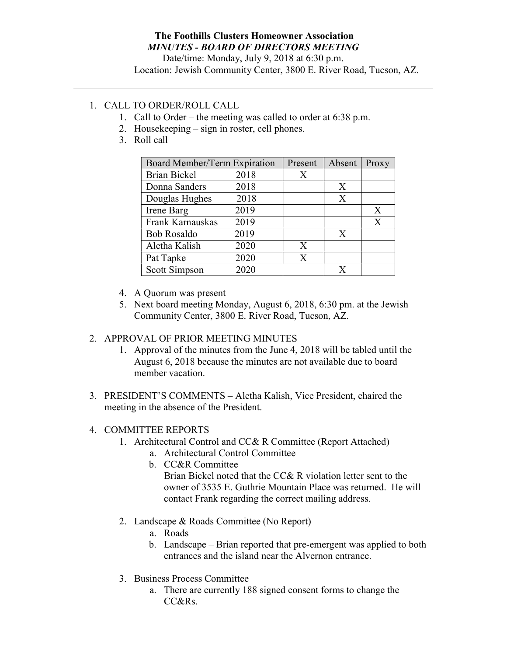### The Foothills Clusters Homeowner Association MINUTES - BOARD OF DIRECTORS MEETING

Date/time: Monday, July 9, 2018 at 6:30 p.m.

# Location: Jewish Community Center, 3800 E. River Road, Tucson, AZ.

## 1. CALL TO ORDER/ROLL CALL

- 1. Call to Order the meeting was called to order at 6:38 p.m.
- 2. Housekeeping sign in roster, cell phones.
- 3. Roll call

| Board Member/Term Expiration |      | Present | Absent | Proxy |
|------------------------------|------|---------|--------|-------|
| <b>Brian Bickel</b>          | 2018 | Χ       |        |       |
| Donna Sanders                | 2018 |         | X      |       |
| Douglas Hughes               | 2018 |         | X      |       |
| Irene Barg                   | 2019 |         |        | X     |
| Frank Karnauskas             | 2019 |         |        | X     |
| <b>Bob Rosaldo</b>           | 2019 |         | X      |       |
| Aletha Kalish                | 2020 | X       |        |       |
| Pat Tapke                    | 2020 | X       |        |       |
| Scott Simpson                | 2020 |         |        |       |

- 4. A Quorum was present
- 5. Next board meeting Monday, August 6, 2018, 6:30 pm. at the Jewish Community Center, 3800 E. River Road, Tucson, AZ.

### 2. APPROVAL OF PRIOR MEETING MINUTES

- 1. Approval of the minutes from the June 4, 2018 will be tabled until the August 6, 2018 because the minutes are not available due to board member vacation.
- 3. PRESIDENT'S COMMENTS Aletha Kalish, Vice President, chaired the meeting in the absence of the President.

### 4. COMMITTEE REPORTS

- 1. Architectural Control and CC& R Committee (Report Attached)
	- a. Architectural Control Committee
	- b. CC&R Committee

Brian Bickel noted that the CC& R violation letter sent to the owner of 3535 E. Guthrie Mountain Place was returned. He will contact Frank regarding the correct mailing address.

- 2. Landscape & Roads Committee (No Report)
	- a. Roads
	- b. Landscape Brian reported that pre-emergent was applied to both entrances and the island near the Alvernon entrance.
- 3. Business Process Committee
	- a. There are currently 188 signed consent forms to change the CC&Rs.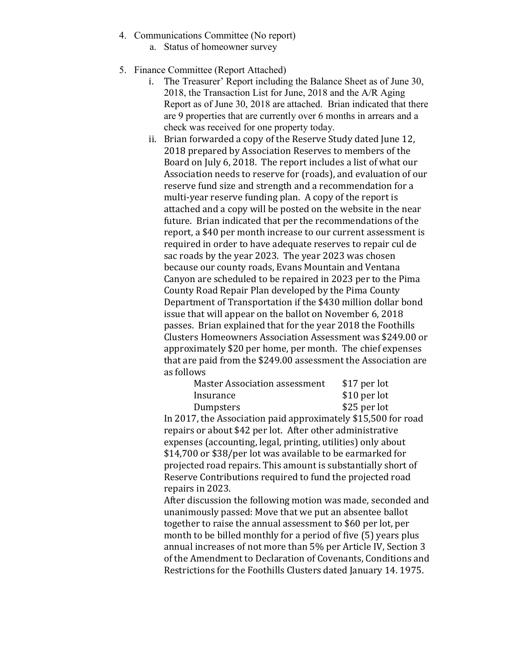- 4. Communications Committee (No report)
	- a. Status of homeowner survey
- 5. Finance Committee (Report Attached)
	- i. The Treasurer' Report including the Balance Sheet as of June 30, 2018, the Transaction List for June, 2018 and the A/R Aging Report as of June 30, 2018 are attached. Brian indicated that there are 9 properties that are currently over 6 months in arrears and a check was received for one property today.
	- ii. Brian forwarded a copy of the Reserve Study dated June 12, 2018 prepared by Association Reserves to members of the Board on July 6, 2018. The report includes a list of what our Association needs to reserve for (roads), and evaluation of our reserve fund size and strength and a recommendation for a multi-year reserve funding plan. A copy of the report is attached and a copy will be posted on the website in the near future. Brian indicated that per the recommendations of the report, a \$40 per month increase to our current assessment is required in order to have adequate reserves to repair cul de sac roads by the year 2023. The year 2023 was chosen because our county roads, Evans Mountain and Ventana Canyon are scheduled to be repaired in 2023 per to the Pima County Road Repair Plan developed by the Pima County Department of Transportation if the \$430 million dollar bond issue that will appear on the ballot on November 6, 2018 passes. Brian explained that for the year 2018 the Foothills Clusters Homeowners Association Assessment was \$249.00 or approximately \$20 per home, per month. The chief expenses that are paid from the \$249.00 assessment the Association are as follows

| <b>Master Association assessment</b> | \$17 per lot  |
|--------------------------------------|---------------|
| Insurance                            | $$10$ per lot |
| Dumpsters                            | \$25 per lot  |

 In 2017, the Association paid approximately \$15,500 for road repairs or about \$42 per lot. After other administrative expenses (accounting, legal, printing, utilities) only about \$14,700 or \$38/per lot was available to be earmarked for projected road repairs. This amount is substantially short of Reserve Contributions required to fund the projected road repairs in 2023.

 After discussion the following motion was made, seconded and unanimously passed: Move that we put an absentee ballot together to raise the annual assessment to \$60 per lot, per month to be billed monthly for a period of five (5) years plus annual increases of not more than 5% per Article IV, Section 3 of the Amendment to Declaration of Covenants, Conditions and Restrictions for the Foothills Clusters dated January 14. 1975.